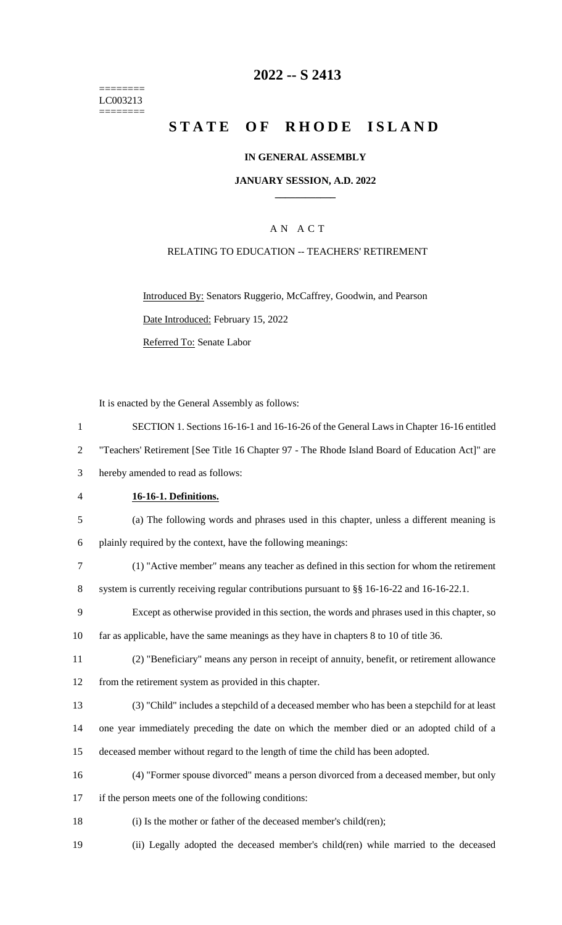======== LC003213 ========

# **2022 -- S 2413**

# **STATE OF RHODE ISLAND**

### **IN GENERAL ASSEMBLY**

### **JANUARY SESSION, A.D. 2022 \_\_\_\_\_\_\_\_\_\_\_\_**

# A N A C T

### RELATING TO EDUCATION -- TEACHERS' RETIREMENT

Introduced By: Senators Ruggerio, McCaffrey, Goodwin, and Pearson Date Introduced: February 15, 2022 Referred To: Senate Labor

It is enacted by the General Assembly as follows:

 SECTION 1. Sections 16-16-1 and 16-16-26 of the General Laws in Chapter 16-16 entitled "Teachers' Retirement [See Title 16 Chapter 97 - The Rhode Island Board of Education Act]" are hereby amended to read as follows: **16-16-1. Definitions.** (a) The following words and phrases used in this chapter, unless a different meaning is plainly required by the context, have the following meanings: (1) "Active member" means any teacher as defined in this section for whom the retirement 8 system is currently receiving regular contributions pursuant to §§ 16-16-22 and 16-16-22.1. Except as otherwise provided in this section, the words and phrases used in this chapter, so far as applicable, have the same meanings as they have in chapters 8 to 10 of title 36. (2) "Beneficiary" means any person in receipt of annuity, benefit, or retirement allowance from the retirement system as provided in this chapter. (3) "Child" includes a stepchild of a deceased member who has been a stepchild for at least one year immediately preceding the date on which the member died or an adopted child of a deceased member without regard to the length of time the child has been adopted. (4) "Former spouse divorced" means a person divorced from a deceased member, but only if the person meets one of the following conditions: 18 (i) Is the mother or father of the deceased member's child(ren); (ii) Legally adopted the deceased member's child(ren) while married to the deceased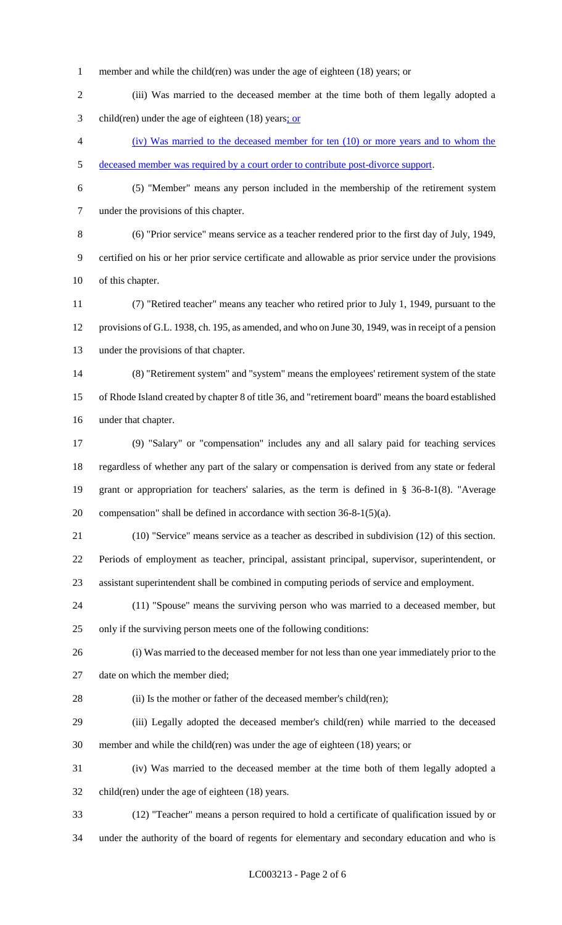- member and while the child(ren) was under the age of eighteen (18) years; or
- (iii) Was married to the deceased member at the time both of them legally adopted a child(ren) under the age of eighteen (18) years; or
- (iv) Was married to the deceased member for ten (10) or more years and to whom the deceased member was required by a court order to contribute post-divorce support.
- 

 (5) "Member" means any person included in the membership of the retirement system under the provisions of this chapter.

 (6) "Prior service" means service as a teacher rendered prior to the first day of July, 1949, certified on his or her prior service certificate and allowable as prior service under the provisions of this chapter.

 (7) "Retired teacher" means any teacher who retired prior to July 1, 1949, pursuant to the provisions of G.L. 1938, ch. 195, as amended, and who on June 30, 1949, was in receipt of a pension under the provisions of that chapter.

 (8) "Retirement system" and "system" means the employees' retirement system of the state of Rhode Island created by chapter 8 of title 36, and "retirement board" means the board established under that chapter.

 (9) "Salary" or "compensation" includes any and all salary paid for teaching services regardless of whether any part of the salary or compensation is derived from any state or federal grant or appropriation for teachers' salaries, as the term is defined in § 36-8-1(8). "Average compensation" shall be defined in accordance with section 36-8-1(5)(a).

 (10) "Service" means service as a teacher as described in subdivision (12) of this section. Periods of employment as teacher, principal, assistant principal, supervisor, superintendent, or assistant superintendent shall be combined in computing periods of service and employment.

 (11) "Spouse" means the surviving person who was married to a deceased member, but only if the surviving person meets one of the following conditions:

 (i) Was married to the deceased member for not less than one year immediately prior to the date on which the member died;

28 (ii) Is the mother or father of the deceased member's child(ren);

 (iii) Legally adopted the deceased member's child(ren) while married to the deceased member and while the child(ren) was under the age of eighteen (18) years; or

 (iv) Was married to the deceased member at the time both of them legally adopted a child(ren) under the age of eighteen (18) years.

(12) "Teacher" means a person required to hold a certificate of qualification issued by or

under the authority of the board of regents for elementary and secondary education and who is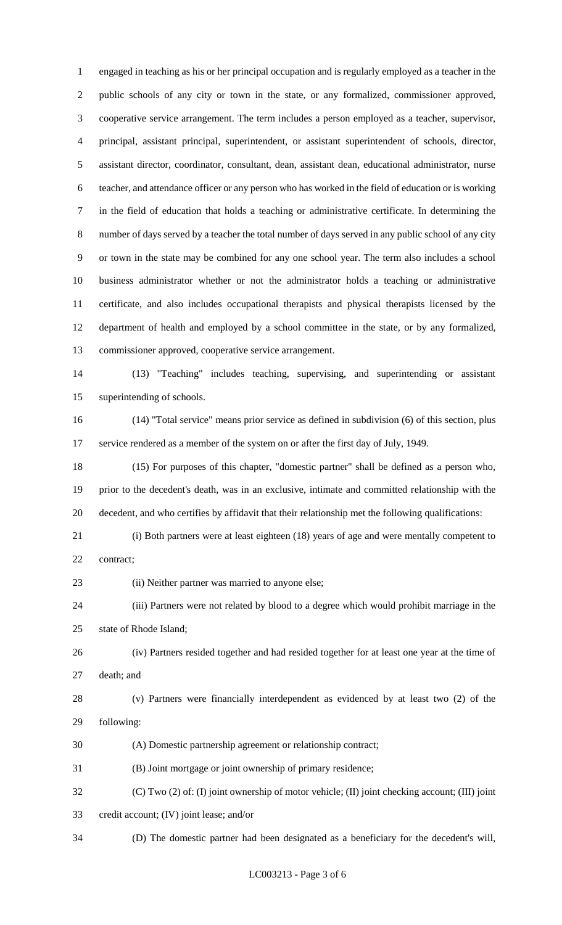engaged in teaching as his or her principal occupation and is regularly employed as a teacher in the public schools of any city or town in the state, or any formalized, commissioner approved, cooperative service arrangement. The term includes a person employed as a teacher, supervisor, principal, assistant principal, superintendent, or assistant superintendent of schools, director, assistant director, coordinator, consultant, dean, assistant dean, educational administrator, nurse teacher, and attendance officer or any person who has worked in the field of education or is working in the field of education that holds a teaching or administrative certificate. In determining the number of days served by a teacher the total number of days served in any public school of any city or town in the state may be combined for any one school year. The term also includes a school business administrator whether or not the administrator holds a teaching or administrative certificate, and also includes occupational therapists and physical therapists licensed by the department of health and employed by a school committee in the state, or by any formalized, commissioner approved, cooperative service arrangement.

 (13) "Teaching" includes teaching, supervising, and superintending or assistant superintending of schools.

 (14) "Total service" means prior service as defined in subdivision (6) of this section, plus service rendered as a member of the system on or after the first day of July, 1949.

 (15) For purposes of this chapter, "domestic partner" shall be defined as a person who, prior to the decedent's death, was in an exclusive, intimate and committed relationship with the decedent, and who certifies by affidavit that their relationship met the following qualifications:

 (i) Both partners were at least eighteen (18) years of age and were mentally competent to contract;

(ii) Neither partner was married to anyone else;

 (iii) Partners were not related by blood to a degree which would prohibit marriage in the state of Rhode Island;

 (iv) Partners resided together and had resided together for at least one year at the time of death; and

 (v) Partners were financially interdependent as evidenced by at least two (2) of the following:

(A) Domestic partnership agreement or relationship contract;

(B) Joint mortgage or joint ownership of primary residence;

(C) Two (2) of: (I) joint ownership of motor vehicle; (II) joint checking account; (III) joint

credit account; (IV) joint lease; and/or

(D) The domestic partner had been designated as a beneficiary for the decedent's will,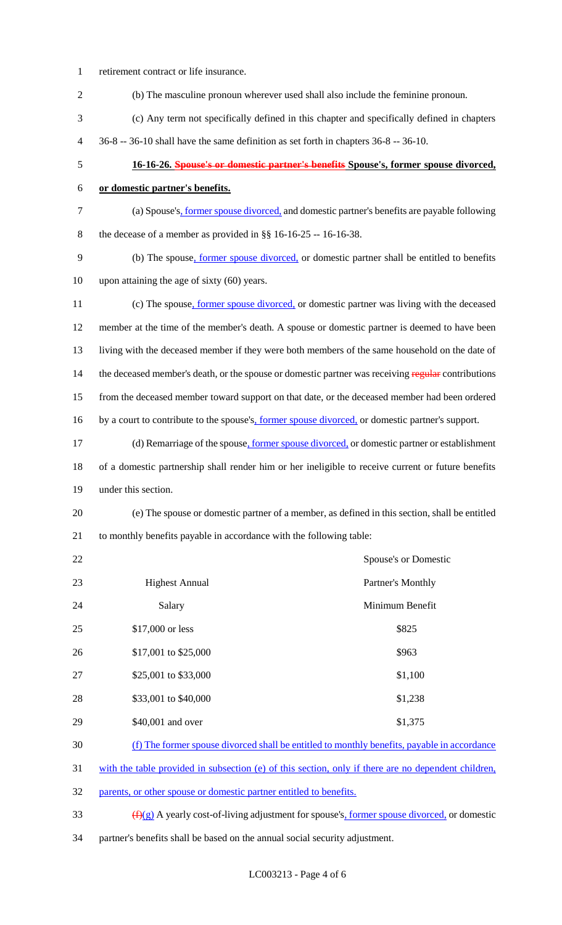retirement contract or life insurance. (b) The masculine pronoun wherever used shall also include the feminine pronoun. (c) Any term not specifically defined in this chapter and specifically defined in chapters 36-8 -- 36-10 shall have the same definition as set forth in chapters 36-8 -- 36-10. **16-16-26. Spouse's or domestic partner's benefits Spouse's, former spouse divorced, or domestic partner's benefits.** (a) Spouse's, former spouse divorced, and domestic partner's benefits are payable following the decease of a member as provided in §§ 16-16-25 -- 16-16-38. (b) The spouse, former spouse divorced, or domestic partner shall be entitled to benefits upon attaining the age of sixty (60) years. 11 (c) The spouse, former spouse divorced, or domestic partner was living with the deceased member at the time of the member's death. A spouse or domestic partner is deemed to have been living with the deceased member if they were both members of the same household on the date of 14 the deceased member's death, or the spouse or domestic partner was receiving regular contributions from the deceased member toward support on that date, or the deceased member had been ordered 16 by a court to contribute to the spouse's, former spouse divorced, or domestic partner's support. 17 (d) Remarriage of the spouse, <u>former spouse divorced</u>, or domestic partner or establishment of a domestic partnership shall render him or her ineligible to receive current or future benefits under this section. (e) The spouse or domestic partner of a member, as defined in this section, shall be entitled to monthly benefits payable in accordance with the following table: Spouse's or Domestic **Highest Annual** Partner's Monthly 24 Salary Salary Minimum Benefit 25 \$17,000 or less \$825 26 \$17,001 to \$25,000 \$963 27 \$25,001 to \$33,000 \$1,100 28 \$33,001 to \$40,000 \$1,238 29 \$40,001 and over \$1,375 (f) The former spouse divorced shall be entitled to monthly benefits, payable in accordance with the table provided in subsection (e) of this section, only if there are no dependent children, parents, or other spouse or domestic partner entitled to benefits.  $\frac{f(x)}{g}$  A yearly cost-of-living adjustment for spouse's, former spouse divorced, or domestic

partner's benefits shall be based on the annual social security adjustment.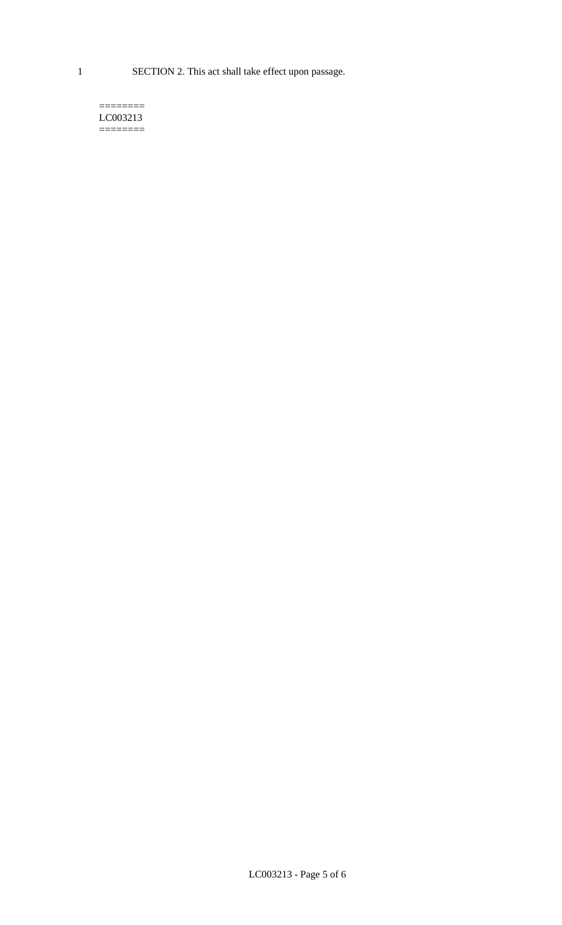1 SECTION 2. This act shall take effect upon passage.

#### $=$ LC003213  $=$